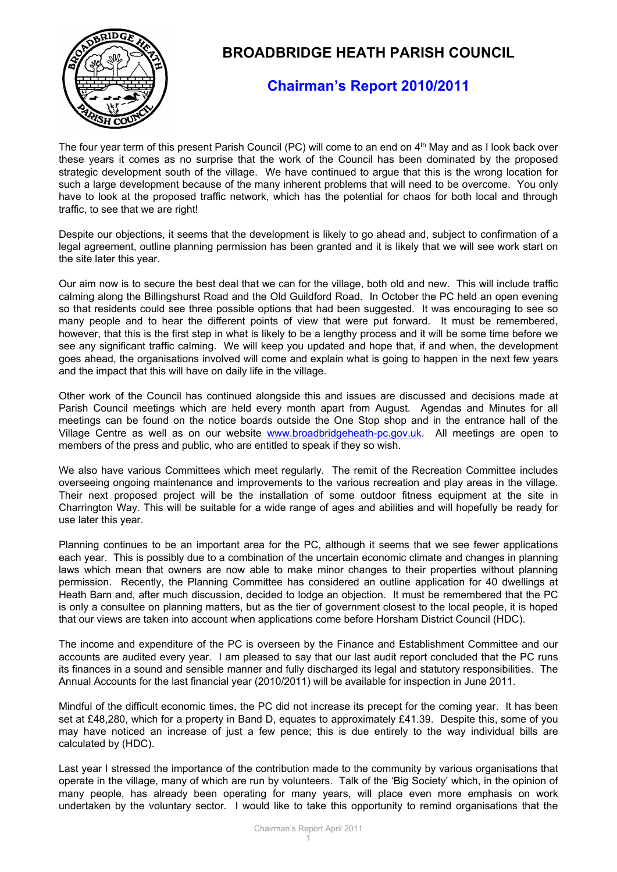

## **BROADBRIDGE HEATH PARISH COUNCIL**

## **Chairman's Report 2010/2011**

The four year term of this present Parish Council (PC) will come to an end on 4<sup>th</sup> May and as I look back over these years it comes as no surprise that the work of the Council has been dominated by the proposed strategic development south of the village. We have continued to argue that this is the wrong location for such a large development because of the many inherent problems that will need to be overcome. You only have to look at the proposed traffic network, which has the potential for chaos for both local and through traffic, to see that we are right!

Despite our objections, it seems that the development is likely to go ahead and, subject to confirmation of a legal agreement, outline planning permission has been granted and it is likely that we will see work start on the site later this year.

Our aim now is to secure the best deal that we can for the village, both old and new. This will include traffic calming along the Billingshurst Road and the Old Guildford Road. In October the PC held an open evening so that residents could see three possible options that had been suggested. It was encouraging to see so many people and to hear the different points of view that were put forward. It must be remembered, however, that this is the first step in what is likely to be a lengthy process and it will be some time before we see any significant traffic calming. We will keep you updated and hope that, if and when, the development goes ahead, the organisations involved will come and explain what is going to happen in the next few years and the impact that this will have on daily life in the village.

Other work of the Council has continued alongside this and issues are discussed and decisions made at Parish Council meetings which are held every month apart from August. Agendas and Minutes for all meetings can be found on the notice boards outside the One Stop shop and in the entrance hall of the Village Centre as well as on our website [www.broadbridgeheath-pc.gov.uk.](http://www.broadbridgeheath-pc.gov.uk/) All meetings are open to members of the press and public, who are entitled to speak if they so wish.

We also have various Committees which meet regularly. The remit of the Recreation Committee includes overseeing ongoing maintenance and improvements to the various recreation and play areas in the village. Their next proposed project will be the installation of some outdoor fitness equipment at the site in Charrington Way. This will be suitable for a wide range of ages and abilities and will hopefully be ready for use later this year.

Planning continues to be an important area for the PC, although it seems that we see fewer applications each year. This is possibly due to a combination of the uncertain economic climate and changes in planning laws which mean that owners are now able to make minor changes to their properties without planning permission. Recently, the Planning Committee has considered an outline application for 40 dwellings at Heath Barn and, after much discussion, decided to lodge an objection. It must be remembered that the PC is only a consultee on planning matters, but as the tier of government closest to the local people, it is hoped that our views are taken into account when applications come before Horsham District Council (HDC).

The income and expenditure of the PC is overseen by the Finance and Establishment Committee and our accounts are audited every year. I am pleased to say that our last audit report concluded that the PC runs its finances in a sound and sensible manner and fully discharged its legal and statutory responsibilities. The Annual Accounts for the last financial year (2010/2011) will be available for inspection in June 2011.

Mindful of the difficult economic times, the PC did not increase its precept for the coming year. It has been set at £48,280, which for a property in Band D, equates to approximately £41.39. Despite this, some of you may have noticed an increase of just a few pence; this is due entirely to the way individual bills are calculated by (HDC).

Last year I stressed the importance of the contribution made to the community by various organisations that operate in the village, many of which are run by volunteers. Talk of the 'Big Society' which, in the opinion of many people, has already been operating for many years, will place even more emphasis on work undertaken by the voluntary sector. I would like to take this opportunity to remind organisations that the